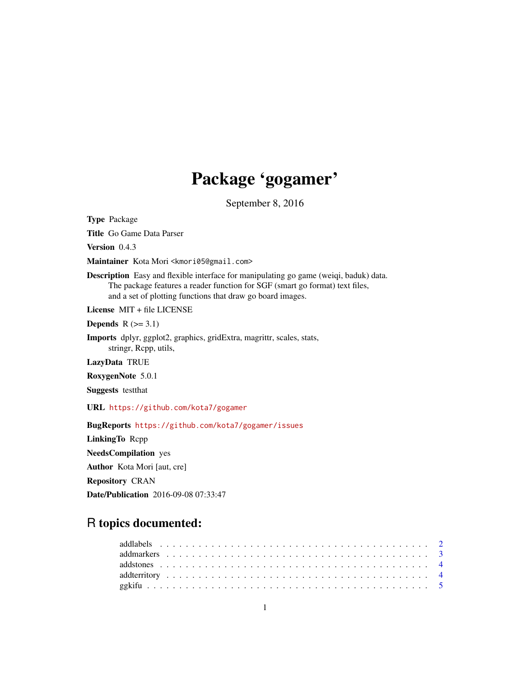# Package 'gogamer'

September 8, 2016

<span id="page-0-0"></span>Type Package

Title Go Game Data Parser

Version 0.4.3

Maintainer Kota Mori <kmori05@gmail.com>

Description Easy and flexible interface for manipulating go game (weiqi, baduk) data. The package features a reader function for SGF (smart go format) text files, and a set of plotting functions that draw go board images.

License MIT + file LICENSE

Depends  $R$  ( $>= 3.1$ )

Imports dplyr, ggplot2, graphics, gridExtra, magrittr, scales, stats, stringr, Rcpp, utils,

LazyData TRUE

RoxygenNote 5.0.1

Suggests testthat

URL <https://github.com/kota7/gogamer>

BugReports <https://github.com/kota7/gogamer/issues>

LinkingTo Rcpp

NeedsCompilation yes

Author Kota Mori [aut, cre]

Repository CRAN

Date/Publication 2016-09-08 07:33:47

# R topics documented: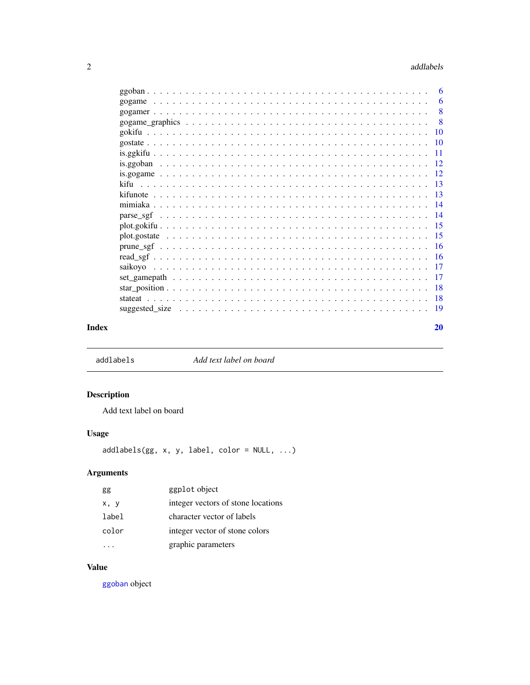#### <span id="page-1-0"></span>2 addlabels and  $\alpha$  and  $\alpha$  and  $\alpha$  and  $\alpha$  and  $\alpha$  and  $\alpha$  and  $\alpha$  and  $\alpha$  and  $\alpha$  and  $\alpha$  and  $\alpha$  and  $\alpha$  and  $\alpha$  and  $\alpha$  and  $\alpha$  and  $\alpha$  and  $\alpha$  and  $\alpha$  and  $\alpha$  and  $\alpha$  and  $\alpha$  and  $\alpha$  and  $\alpha$  and

|  |  |  |  |  |  |  |  |  |  |  |  |  |  |  |  | - 6 |
|--|--|--|--|--|--|--|--|--|--|--|--|--|--|--|--|-----|
|  |  |  |  |  |  |  |  |  |  |  |  |  |  |  |  |     |
|  |  |  |  |  |  |  |  |  |  |  |  |  |  |  |  |     |
|  |  |  |  |  |  |  |  |  |  |  |  |  |  |  |  |     |
|  |  |  |  |  |  |  |  |  |  |  |  |  |  |  |  |     |
|  |  |  |  |  |  |  |  |  |  |  |  |  |  |  |  |     |
|  |  |  |  |  |  |  |  |  |  |  |  |  |  |  |  |     |
|  |  |  |  |  |  |  |  |  |  |  |  |  |  |  |  |     |
|  |  |  |  |  |  |  |  |  |  |  |  |  |  |  |  |     |
|  |  |  |  |  |  |  |  |  |  |  |  |  |  |  |  |     |
|  |  |  |  |  |  |  |  |  |  |  |  |  |  |  |  |     |
|  |  |  |  |  |  |  |  |  |  |  |  |  |  |  |  |     |
|  |  |  |  |  |  |  |  |  |  |  |  |  |  |  |  |     |
|  |  |  |  |  |  |  |  |  |  |  |  |  |  |  |  |     |
|  |  |  |  |  |  |  |  |  |  |  |  |  |  |  |  |     |
|  |  |  |  |  |  |  |  |  |  |  |  |  |  |  |  |     |
|  |  |  |  |  |  |  |  |  |  |  |  |  |  |  |  |     |
|  |  |  |  |  |  |  |  |  |  |  |  |  |  |  |  |     |
|  |  |  |  |  |  |  |  |  |  |  |  |  |  |  |  |     |
|  |  |  |  |  |  |  |  |  |  |  |  |  |  |  |  |     |
|  |  |  |  |  |  |  |  |  |  |  |  |  |  |  |  |     |
|  |  |  |  |  |  |  |  |  |  |  |  |  |  |  |  |     |
|  |  |  |  |  |  |  |  |  |  |  |  |  |  |  |  | 20  |

addlabels *Add text label on board*

# Description

Add text label on board

# Usage

addlabels(gg, x, y, label, color = NULL, ...)

# Arguments

| gg    | ggplot object                      |
|-------|------------------------------------|
| x, y  | integer vectors of stone locations |
| label | character vector of labels         |
| color | integer vector of stone colors     |
|       | graphic parameters                 |

# Value

[ggoban](#page-5-1) object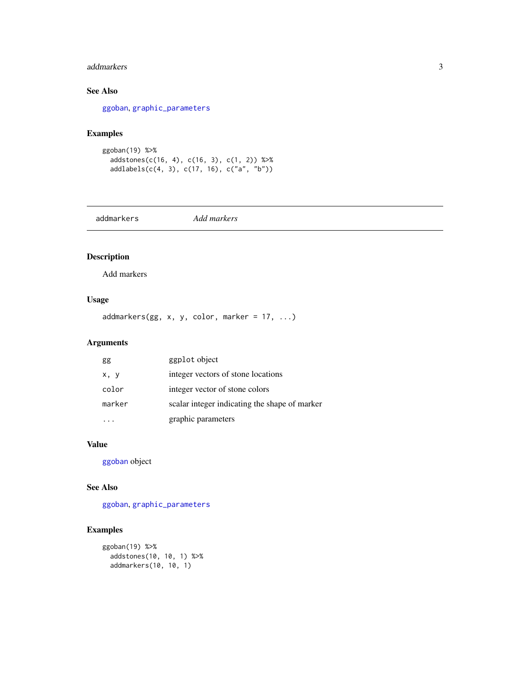#### <span id="page-2-0"></span>addmarkers 3

# See Also

[ggoban](#page-5-1), [graphic\\_parameters](#page-7-1)

# Examples

ggoban(19) %>% addstones(c(16, 4), c(16, 3), c(1, 2)) %>% addlabels(c(4, 3), c(17, 16), c("a", "b"))

addmarkers *Add markers*

# Description

Add markers

# Usage

addmarkers(gg, x, y, color, marker = 17, ...)

# Arguments

| gg     | ggplot object                                 |
|--------|-----------------------------------------------|
| x, y   | integer vectors of stone locations            |
| color  | integer vector of stone colors                |
| marker | scalar integer indicating the shape of marker |
|        | graphic parameters                            |

#### Value

[ggoban](#page-5-1) object

#### See Also

[ggoban](#page-5-1), [graphic\\_parameters](#page-7-1)

#### Examples

```
ggoban(19) %>%
 addstones(10, 10, 1) %>%
 addmarkers(10, 10, 1)
```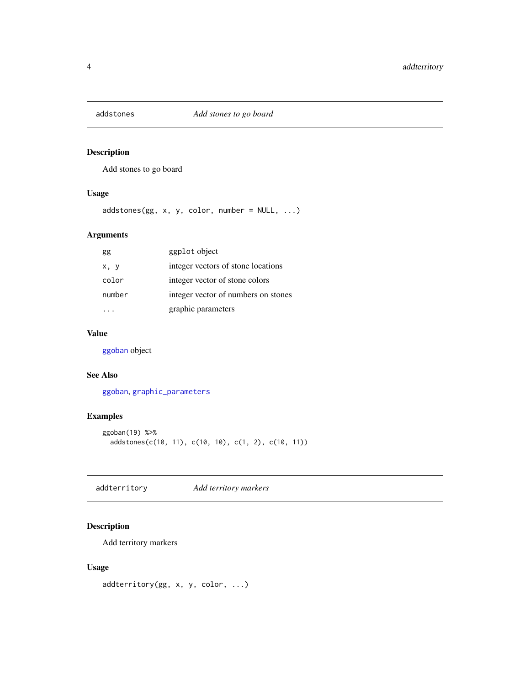<span id="page-3-0"></span>

Add stones to go board

#### Usage

 $adds$  tones(gg, x, y, color, number = NULL, ...)

# Arguments

| gg     | ggplot object                       |
|--------|-------------------------------------|
| x, y   | integer vectors of stone locations  |
| color  | integer vector of stone colors      |
| number | integer vector of numbers on stones |
|        | graphic parameters                  |

# Value

[ggoban](#page-5-1) object

#### See Also

[ggoban](#page-5-1), [graphic\\_parameters](#page-7-1)

### Examples

```
ggoban(19) %>%
  addstones(c(10, 11), c(10, 10), c(1, 2), c(10, 11))
```
addterritory *Add territory markers*

#### Description

Add territory markers

#### Usage

```
addterritory(gg, x, y, color, ...)
```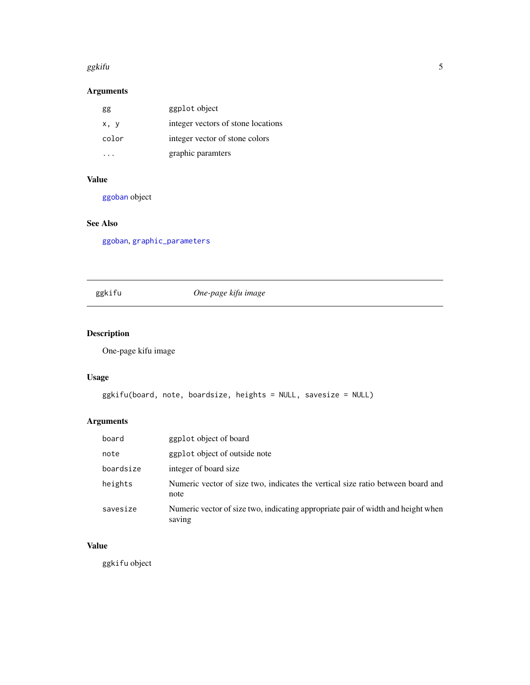#### <span id="page-4-0"></span>ggkifu 5

# Arguments

| gg    | ggplot object                      |
|-------|------------------------------------|
| x, y  | integer vectors of stone locations |
| color | integer vector of stone colors     |
|       | graphic paramters                  |

# Value

[ggoban](#page-5-1) object

# See Also

[ggoban](#page-5-1), [graphic\\_parameters](#page-7-1)

# <span id="page-4-1"></span>ggkifu *One-page kifu image*

# Description

One-page kifu image

#### Usage

```
ggkifu(board, note, boardsize, heights = NULL, savesize = NULL)
```
# Arguments

| board     | ggplot object of board                                                                     |
|-----------|--------------------------------------------------------------------------------------------|
| note      | ggplot object of outside note                                                              |
| boardsize | integer of board size                                                                      |
| heights   | Numeric vector of size two, indicates the vertical size ratio between board and<br>note    |
| savesize  | Numeric vector of size two, indicating appropriate pair of width and height when<br>saving |

## Value

ggkifu object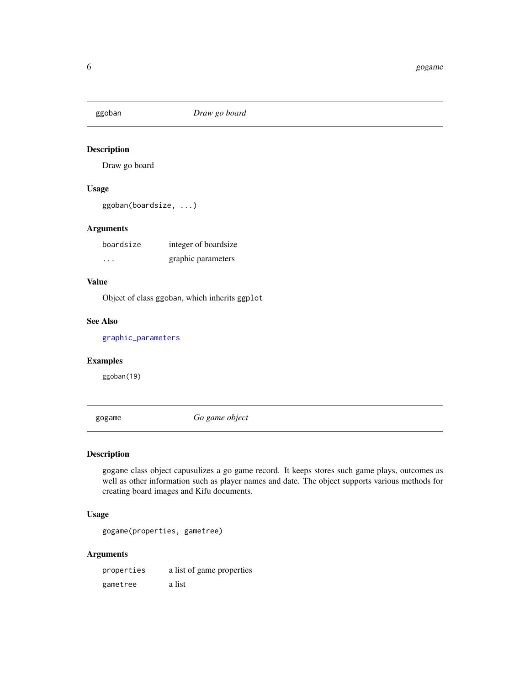<span id="page-5-1"></span><span id="page-5-0"></span>

Draw go board

# Usage

ggoban(boardsize, ...)

#### Arguments

| boardsize | integer of boardsize |
|-----------|----------------------|
| $\cdots$  | graphic parameters   |

# Value

Object of class ggoban, which inherits ggplot

#### See Also

[graphic\\_parameters](#page-7-1)

#### Examples

ggoban(19)

<span id="page-5-2"></span>gogame *Go game object*

#### Description

gogame class object capusulizes a go game record. It keeps stores such game plays, outcomes as well as other information such as player names and date. The object supports various methods for creating board images and Kifu documents.

#### Usage

gogame(properties, gametree)

#### Arguments

properties a list of game properties gametree a list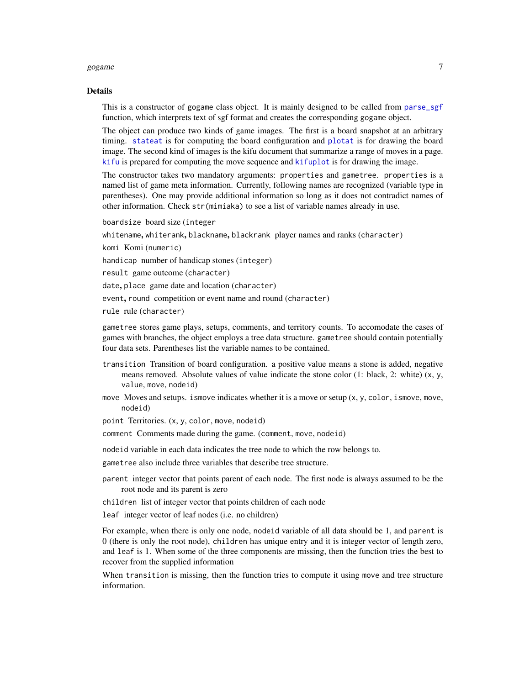#### <span id="page-6-0"></span>gogame **7**

#### Details

This is a constructor of gogame class object. It is mainly designed to be called from [parse\\_sgf](#page-13-1) function, which interprets text of sgf format and creates the corresponding gogame object.

The object can produce two kinds of game images. The first is a board snapshot at an arbitrary timing. [stateat](#page-17-1) is for computing the board configuration and [plotat](#page-17-2) is for drawing the board image. The second kind of images is the kifu document that summarize a range of moves in a page. [kifu](#page-12-1) is prepared for computing the move sequence and [kifuplot](#page-12-2) is for drawing the image.

The constructor takes two mandatory arguments: properties and gametree. properties is a named list of game meta information. Currently, following names are recognized (variable type in parentheses). One may provide additional information so long as it does not contradict names of other information. Check str(mimiaka) to see a list of variable names already in use.

boardsize board size (integer

whitename, whiterank, blackname, blackrank player names and ranks (character)

komi Komi (numeric)

handicap number of handicap stones (integer)

result game outcome (character)

date, place game date and location (character)

event, round competition or event name and round (character)

rule rule (character)

gametree stores game plays, setups, comments, and territory counts. To accomodate the cases of games with branches, the object employs a tree data structure. gametree should contain potentially four data sets. Parentheses list the variable names to be contained.

- transition Transition of board configuration. a positive value means a stone is added, negative means removed. Absolute values of value indicate the stone color  $(1: black, 2: white)$   $(x, y, z)$ value, move, nodeid)
- move Moves and setups. is move indicates whether it is a move or setup  $(x, y, color, is move, move,$ nodeid)
- point Territories. (x, y, color, move, nodeid)
- comment Comments made during the game. (comment, move, nodeid)

nodeid variable in each data indicates the tree node to which the row belongs to.

gametree also include three variables that describe tree structure.

- parent integer vector that points parent of each node. The first node is always assumed to be the root node and its parent is zero
- children list of integer vector that points children of each node
- leaf integer vector of leaf nodes (i.e. no children)

For example, when there is only one node, nodeid variable of all data should be 1, and parent is 0 (there is only the root node), children has unique entry and it is integer vector of length zero, and leaf is 1. When some of the three components are missing, then the function tries the best to recover from the supplied information

When transition is missing, then the function tries to compute it using move and tree structure information.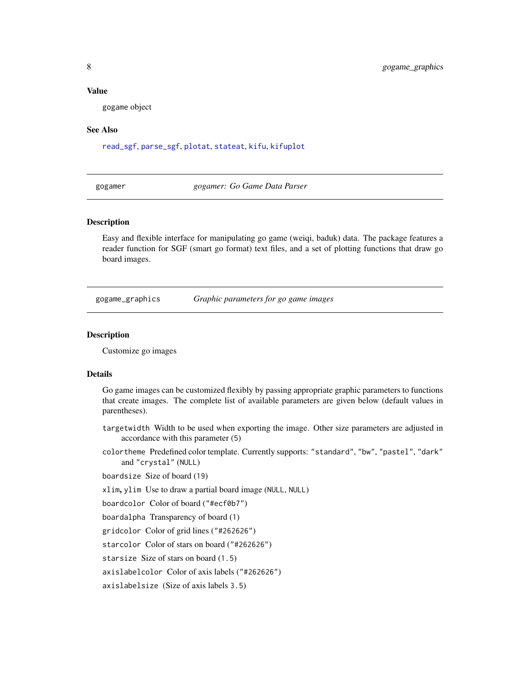#### <span id="page-7-0"></span>Value

gogame object

#### See Also

[read\\_sgf](#page-15-1), [parse\\_sgf](#page-13-1), [plotat](#page-17-2), [stateat](#page-17-1), [kifu](#page-12-1), [kifuplot](#page-12-2)

gogamer *gogamer: Go Game Data Parser*

#### Description

Easy and flexible interface for manipulating go game (weiqi, baduk) data. The package features a reader function for SGF (smart go format) text files, and a set of plotting functions that draw go board images.

<span id="page-7-2"></span>gogame\_graphics *Graphic parameters for go game images*

#### <span id="page-7-1"></span>Description

Customize go images

#### Details

Go game images can be customized flexibly by passing appropriate graphic parameters to functions that create images. The complete list of available parameters are given below (default values in parentheses).

- targetwidth Width to be used when exporting the image. Other size parameters are adjusted in accordance with this parameter (5)
- colortheme Predefined color template. Currently supports: "standard", "bw", "pastel", "dark" and "crystal" (NULL)

boardsize Size of board (19)

xlim, ylim Use to draw a partial board image (NULL, NULL)

boardcolor Color of board ("#ecf0b7")

boardalpha Transparency of board (1)

gridcolor Color of grid lines ("#262626")

starcolor Color of stars on board ("#262626")

starsize Size of stars on board (1.5)

axislabelcolor Color of axis labels ("#262626")

axislabelsize (Size of axis labels 3.5)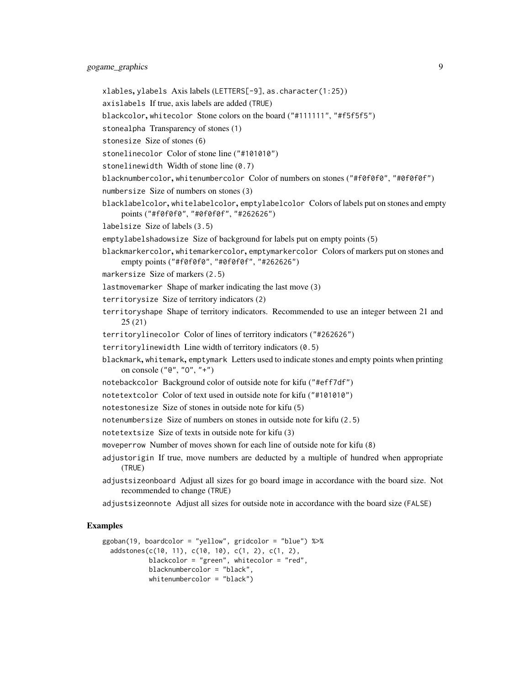- xlables, ylabels Axis labels (LETTERS[-9], as.character(1:25))
- axislabels If true, axis labels are added (TRUE)
- blackcolor, whitecolor Stone colors on the board ("#111111", "#f5f5f5")
- stonealpha Transparency of stones (1)
- stonesize Size of stones (6)
- stonelinecolor Color of stone line ("#101010")
- stonelinewidth Width of stone line (0.7)
- blacknumbercolor, whitenumbercolor Color of numbers on stones ("#f0f0f0", "#0f0f0f")
- numbersize Size of numbers on stones (3)
- blacklabelcolor, whitelabelcolor, emptylabelcolor Colors of labels put on stones and empty points ("#f0f0f0", "#0f0f0f", "#262626")
- labelsize Size of labels (3.5)
- emptylabelshadowsize Size of background for labels put on empty points (5)
- blackmarkercolor, whitemarkercolor, emptymarkercolor Colors of markers put on stones and empty points ("#f0f0f0", "#0f0f0f", "#262626")
- markersize Size of markers (2.5)
- lastmovemarker Shape of marker indicating the last move (3)
- territorysize Size of territory indicators (2)
- territoryshape Shape of territory indicators. Recommended to use an integer between 21 and 25 (21)
- territorylinecolor Color of lines of territory indicators ("#262626")
- territorylinewidth Line width of territory indicators (0.5)
- blackmark, whitemark, emptymark Letters used to indicate stones and empty points when printing on console ("@", "O", "+")
- notebackcolor Background color of outside note for kifu ("#eff7df")
- notetextcolor Color of text used in outside note for kifu ("#101010")
- notestonesize Size of stones in outside note for kifu (5)
- notenumbersize Size of numbers on stones in outside note for kifu (2.5)
- notetextsize Size of texts in outside note for kifu (3)
- moveperrow Number of moves shown for each line of outside note for kifu (8)
- adjustorigin If true, move numbers are deducted by a multiple of hundred when appropriate (TRUE)
- adjustsizeonboard Adjust all sizes for go board image in accordance with the board size. Not recommended to change (TRUE)
- adjustsizeonnote Adjust all sizes for outside note in accordance with the board size (FALSE)

#### Examples

```
ggoban(19, boardcolor = "yellow", gridcolor = "blue") %>%
  addstones(c(10, 11), c(10, 10), c(1, 2), c(1, 2),
            blackcolor = "green", whitecolor = "red",
            blacknumbercolor = "black",
            whitenumbercolor = "black")
```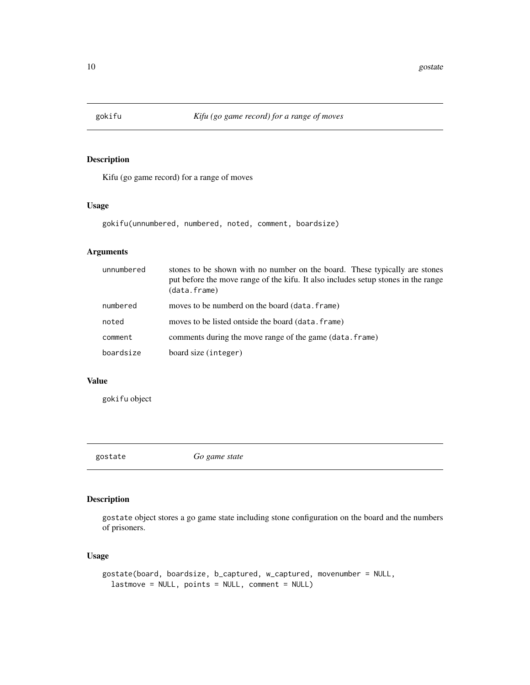<span id="page-9-1"></span><span id="page-9-0"></span>

Kifu (go game record) for a range of moves

#### Usage

gokifu(unnumbered, numbered, noted, comment, boardsize)

#### Arguments

| unnumbered | stones to be shown with no number on the board. These typically are stones<br>put before the move range of the kifu. It also includes setup stones in the range<br>(data.frame) |
|------------|---------------------------------------------------------------------------------------------------------------------------------------------------------------------------------|
| numbered   | moves to be numberd on the board (data. frame)                                                                                                                                  |
| noted      | moves to be listed ontside the board (data, frame)                                                                                                                              |
| comment    | comments during the move range of the game (data. frame)                                                                                                                        |
| boardsize  | board size (integer)                                                                                                                                                            |

#### Value

gokifu object

<span id="page-9-2"></span>gostate *Go game state*

# Description

gostate object stores a go game state including stone configuration on the board and the numbers of prisoners.

#### Usage

```
gostate(board, boardsize, b_captured, w_captured, movenumber = NULL,
  lastmove = NULL, points = NULL, comment = NULL)
```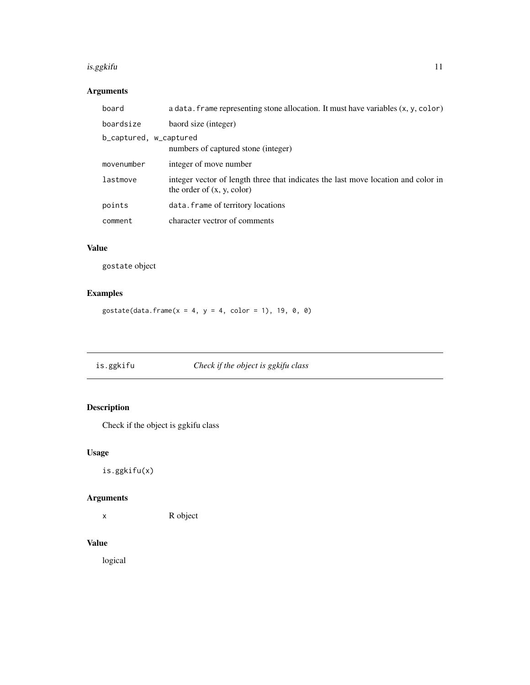#### <span id="page-10-0"></span>is.ggkifu **11**

# Arguments

| board                  | a data. frame representing stone allocation. It must have variables (x, y, color)                                 |
|------------------------|-------------------------------------------------------------------------------------------------------------------|
| boardsize              | baord size (integer)                                                                                              |
| b_captured, w_captured | numbers of captured stone (integer)                                                                               |
| movenumber             | integer of move number                                                                                            |
| lastmove               | integer vector of length three that indicates the last move location and color in<br>the order of $(x, y, color)$ |
| points                 | data. frame of territory locations                                                                                |
| comment                | character vectror of comments                                                                                     |

# Value

gostate object

# Examples

 $gostate(data.frame(x = 4, y = 4, color = 1), 19, 0, 0)$ 

is.ggkifu *Check if the object is ggkifu class*

# Description

Check if the object is ggkifu class

# Usage

is.ggkifu(x)

# Arguments

x R object

# Value

logical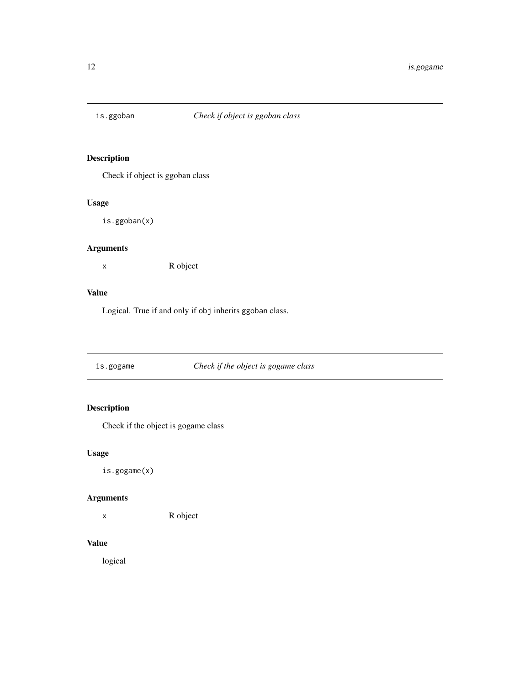<span id="page-11-0"></span>

Check if object is ggoban class

#### Usage

is.ggoban(x)

#### Arguments

x R object

# Value

Logical. True if and only if obj inherits ggoban class.

# is.gogame *Check if the object is gogame class*

# Description

Check if the object is gogame class

# Usage

is.gogame(x)

#### Arguments

x R object

#### Value

logical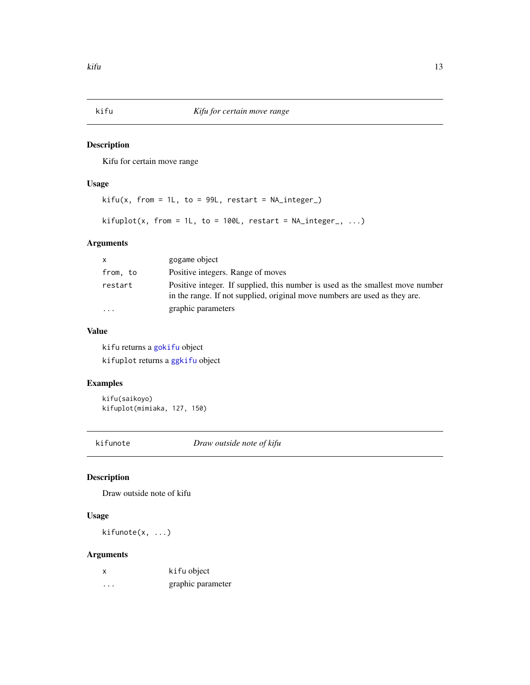<span id="page-12-2"></span><span id="page-12-1"></span><span id="page-12-0"></span>

Kifu for certain move range

#### Usage

```
kifu(x, from = 1L, to = 99L, restart = NA_interestp_C)kifuplot(x, from = 1L, to = 100L, restart = NA\_integer_-, ...)
```
# Arguments

| $\mathsf{x}$ | gogame object                                                                                                                                                |
|--------------|--------------------------------------------------------------------------------------------------------------------------------------------------------------|
| from, to     | Positive integers. Range of moves                                                                                                                            |
| restart      | Positive integer. If supplied, this number is used as the smallest move number<br>in the range. If not supplied, original move numbers are used as they are. |
| $\cdot$      | graphic parameters                                                                                                                                           |

### Value

kifu returns a [gokifu](#page-9-1) object kifuplot returns a [ggkifu](#page-4-1) object

#### Examples

kifu(saikoyo) kifuplot(mimiaka, 127, 150)

kifunote *Draw outside note of kifu*

#### Description

Draw outside note of kifu

#### Usage

kifunote(x, ...)

#### Arguments

| x | kifu object       |
|---|-------------------|
| . | graphic parameter |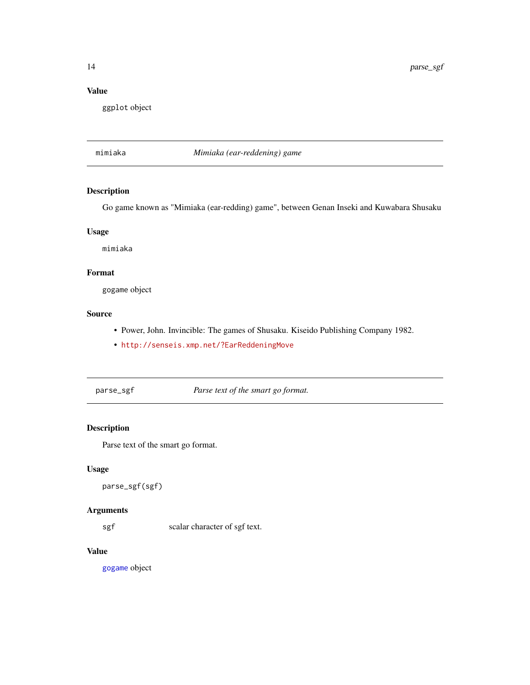<span id="page-13-0"></span>14 parse\_sgf

# Value

ggplot object

mimiaka *Mimiaka (ear-reddening) game*

# Description

Go game known as "Mimiaka (ear-redding) game", between Genan Inseki and Kuwabara Shusaku

#### Usage

mimiaka

# Format

gogame object

# Source

- Power, John. Invincible: The games of Shusaku. Kiseido Publishing Company 1982.
- <http://senseis.xmp.net/?EarReddeningMove>

<span id="page-13-1"></span>parse\_sgf *Parse text of the smart go format.*

# Description

Parse text of the smart go format.

### Usage

```
parse_sgf(sgf)
```
# Arguments

sgf scalar character of sgf text.

#### Value

[gogame](#page-5-2) object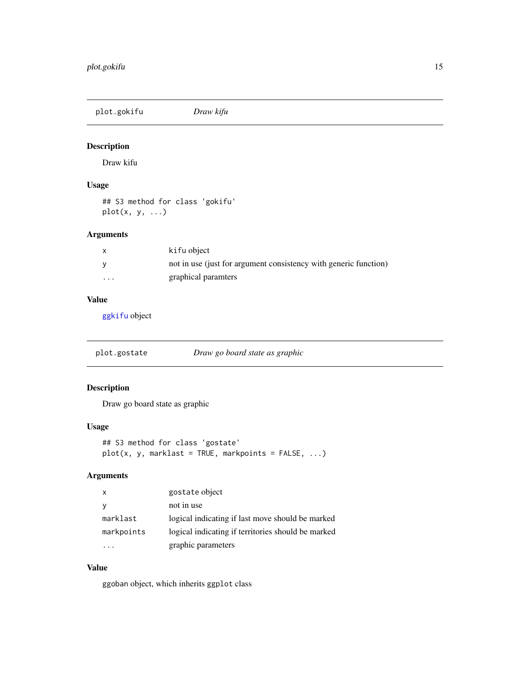<span id="page-14-0"></span>plot.gokifu *Draw kifu*

#### Description

Draw kifu

#### Usage

## S3 method for class 'gokifu' plot(x, y, ...)

#### Arguments

|          | ki fu object                                                     |
|----------|------------------------------------------------------------------|
|          | not in use (just for argument consistency with generic function) |
| $\cdots$ | graphical paramters                                              |

# Value

[ggkifu](#page-4-1) object

<span id="page-14-1"></span>plot.gostate *Draw go board state as graphic*

# Description

Draw go board state as graphic

### Usage

```
## S3 method for class 'gostate'
plot(x, y, marklast = TRUE, markpoints = FALSE, ...)
```
# Arguments

| X            | gostate object                                     |
|--------------|----------------------------------------------------|
| <sub>V</sub> | not in use                                         |
| marklast     | logical indicating if last move should be marked   |
| markpoints   | logical indicating if territories should be marked |
|              | graphic parameters                                 |

# Value

ggoban object, which inherits ggplot class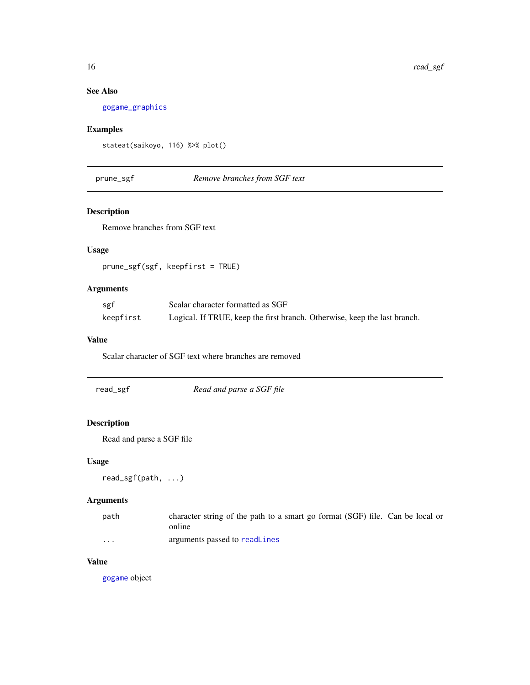# <span id="page-15-0"></span>See Also

[gogame\\_graphics](#page-7-2)

# Examples

```
stateat(saikoyo, 116) %>% plot()
```
#### prune\_sgf *Remove branches from SGF text*

#### Description

Remove branches from SGF text

### Usage

prune\_sgf(sgf, keepfirst = TRUE)

#### Arguments

| sgf       | Scalar character formatted as SGF                                         |
|-----------|---------------------------------------------------------------------------|
| keepfirst | Logical. If TRUE, keep the first branch. Otherwise, keep the last branch. |

#### Value

Scalar character of SGF text where branches are removed

<span id="page-15-1"></span>

| read_sgf | Read and parse a SGF file |  |
|----------|---------------------------|--|
|          |                           |  |

# Description

Read and parse a SGF file

# Usage

```
read_sgf(path, ...)
```
# Arguments

| path | character string of the path to a smart go format (SGF) file. Can be local or |
|------|-------------------------------------------------------------------------------|
|      | online                                                                        |
| .    | arguments passed to readLines                                                 |

#### Value

[gogame](#page-5-2) object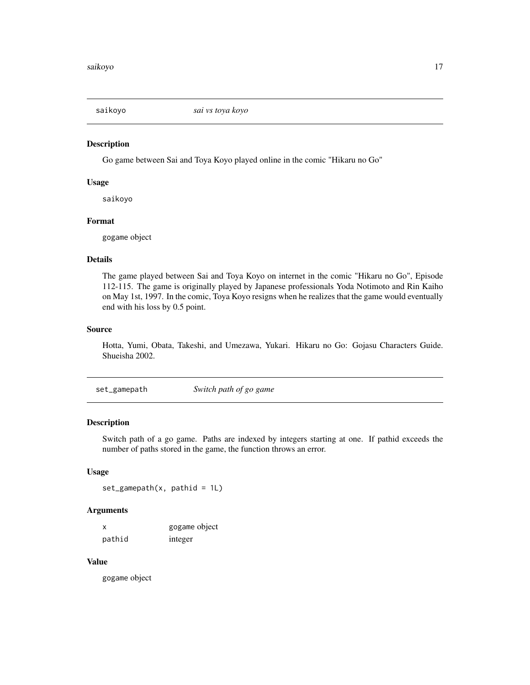<span id="page-16-0"></span>

Go game between Sai and Toya Koyo played online in the comic "Hikaru no Go"

#### Usage

saikoyo

#### Format

gogame object

#### Details

The game played between Sai and Toya Koyo on internet in the comic "Hikaru no Go", Episode 112-115. The game is originally played by Japanese professionals Yoda Notimoto and Rin Kaiho on May 1st, 1997. In the comic, Toya Koyo resigns when he realizes that the game would eventually end with his loss by 0.5 point.

#### Source

Hotta, Yumi, Obata, Takeshi, and Umezawa, Yukari. Hikaru no Go: Gojasu Characters Guide. Shueisha 2002.

set\_gamepath *Switch path of go game*

#### Description

Switch path of a go game. Paths are indexed by integers starting at one. If pathid exceeds the number of paths stored in the game, the function throws an error.

#### Usage

```
set\_gamepath(x, pathid = 1L)
```
#### Arguments

| X      | gogame object |
|--------|---------------|
| pathid | integer       |

#### Value

gogame object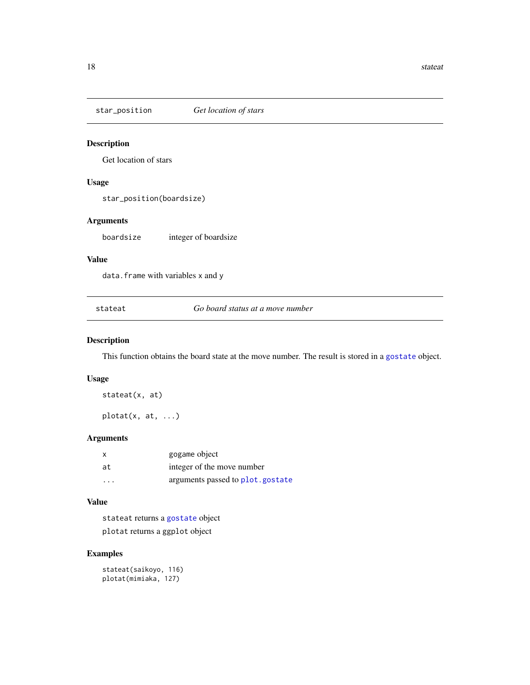<span id="page-17-0"></span>star\_position *Get location of stars*

#### Description

Get location of stars

#### Usage

star\_position(boardsize)

#### Arguments

boardsize integer of boardsize

#### Value

data.frame with variables x and y

<span id="page-17-1"></span>stateat *Go board status at a move number*

#### <span id="page-17-2"></span>Description

This function obtains the board state at the move number. The result is stored in a [gostate](#page-9-2) object.

#### Usage

stateat(x, at)

plotat(x, at, ...)

#### Arguments

|         | gogame object                    |
|---------|----------------------------------|
| at      | integer of the move number       |
| $\cdot$ | arguments passed to plot.gostate |

#### Value

stateat returns a [gostate](#page-9-2) object plotat returns a ggplot object

#### Examples

stateat(saikoyo, 116) plotat(mimiaka, 127)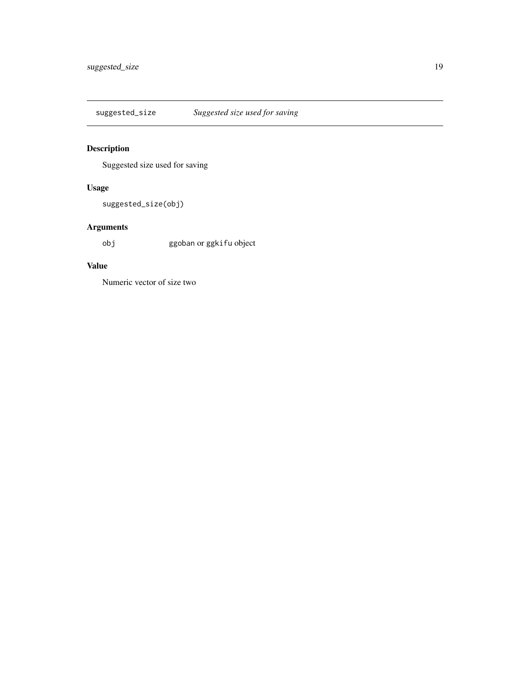<span id="page-18-0"></span>suggested\_size *Suggested size used for saving*

# Description

Suggested size used for saving

# Usage

suggested\_size(obj)

# Arguments

obj ggoban or ggkifu object

# Value

Numeric vector of size two